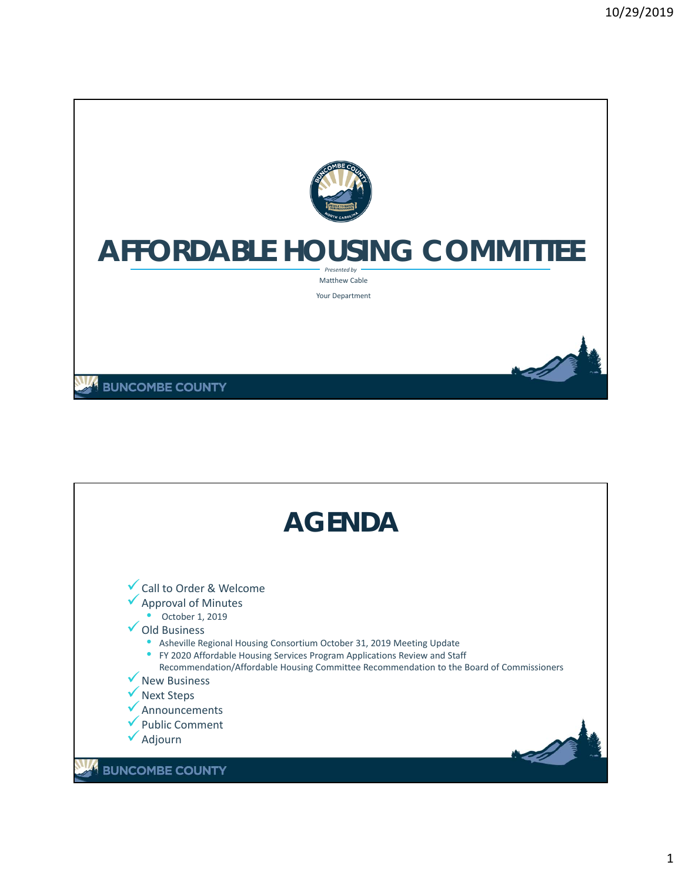

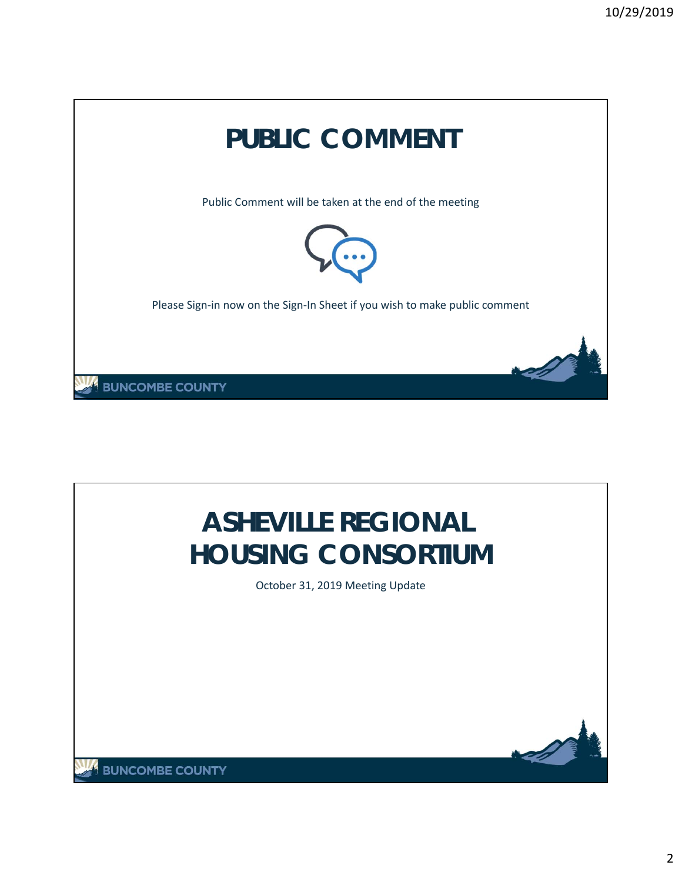

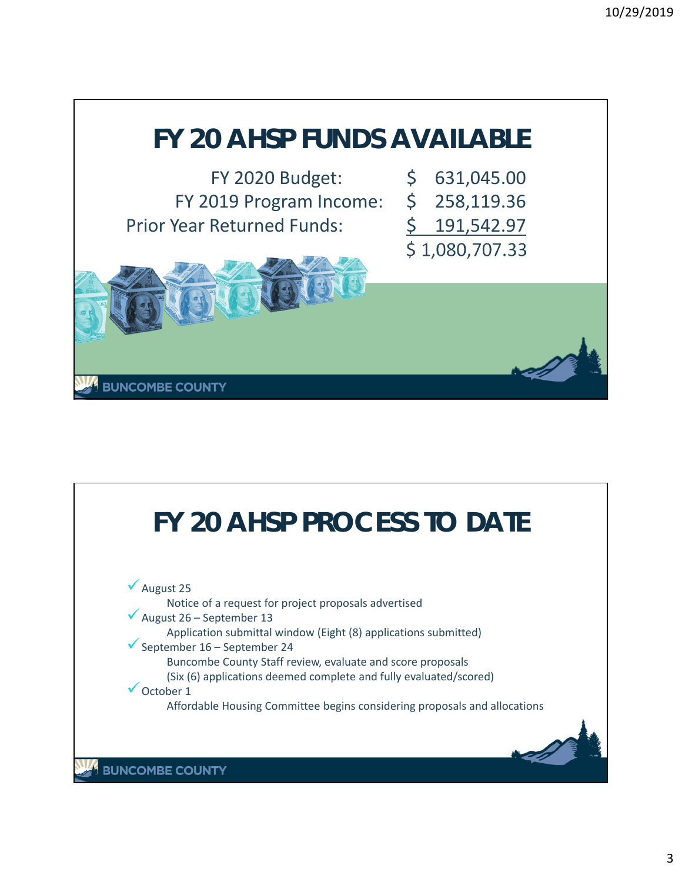

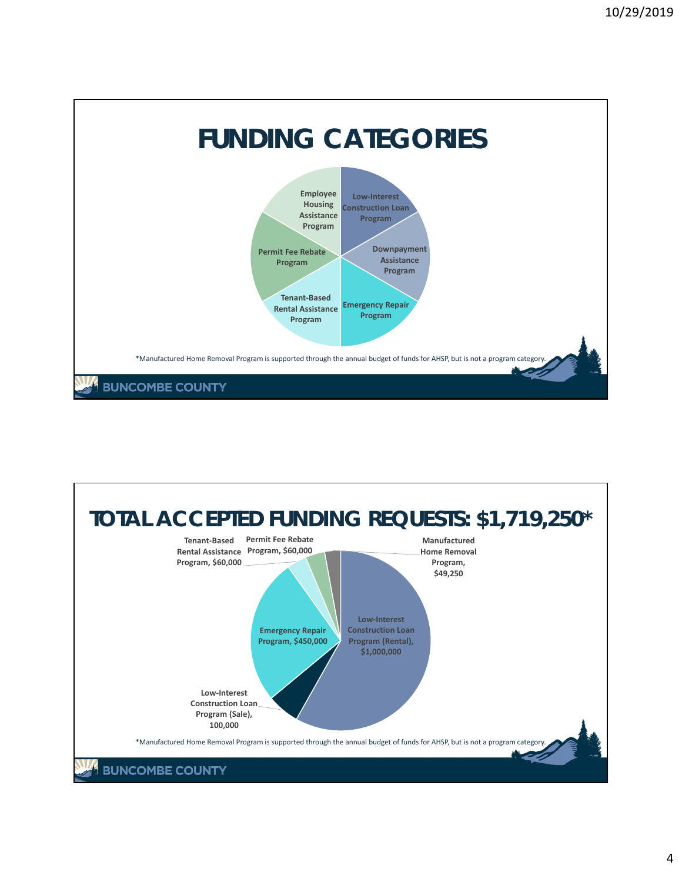

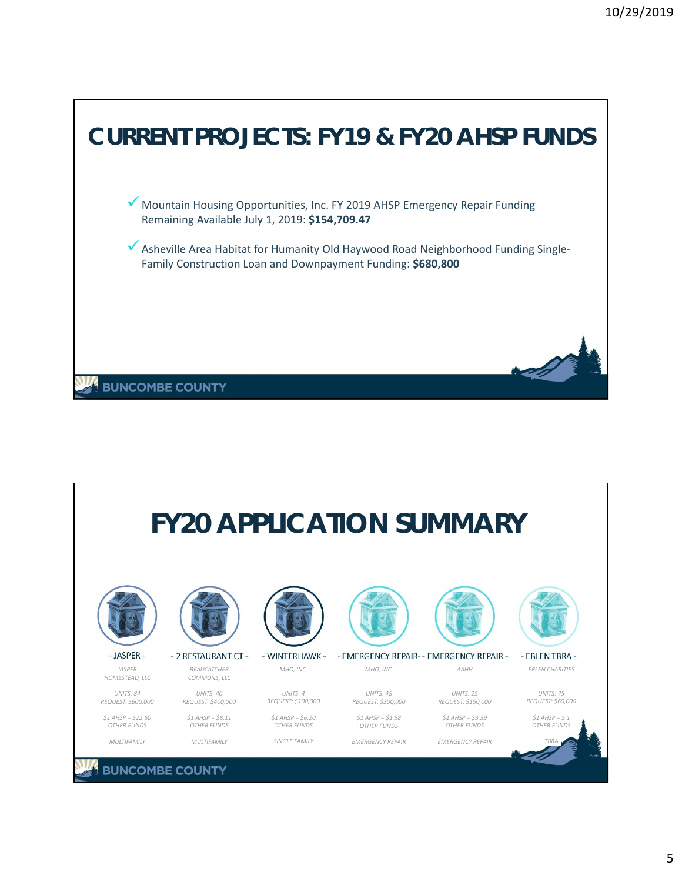